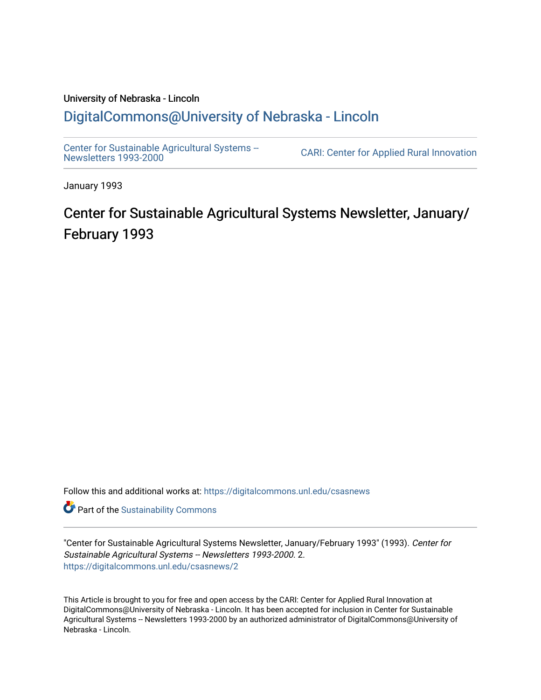## University of Nebraska - Lincoln [DigitalCommons@University of Nebraska - Lincoln](https://digitalcommons.unl.edu/)

[Center for Sustainable Agricultural Systems --](https://digitalcommons.unl.edu/csasnews)<br>Newsletters 1993-2000

CARI: Center for Applied Rural Innovation

January 1993

# Center for Sustainable Agricultural Systems Newsletter, January/ February 1993

Follow this and additional works at: [https://digitalcommons.unl.edu/csasnews](https://digitalcommons.unl.edu/csasnews?utm_source=digitalcommons.unl.edu%2Fcsasnews%2F2&utm_medium=PDF&utm_campaign=PDFCoverPages) 

**Part of the [Sustainability Commons](http://network.bepress.com/hgg/discipline/1031?utm_source=digitalcommons.unl.edu%2Fcsasnews%2F2&utm_medium=PDF&utm_campaign=PDFCoverPages)** 

"Center for Sustainable Agricultural Systems Newsletter, January/February 1993" (1993). Center for Sustainable Agricultural Systems -- Newsletters 1993-2000. 2. [https://digitalcommons.unl.edu/csasnews/2](https://digitalcommons.unl.edu/csasnews/2?utm_source=digitalcommons.unl.edu%2Fcsasnews%2F2&utm_medium=PDF&utm_campaign=PDFCoverPages) 

This Article is brought to you for free and open access by the CARI: Center for Applied Rural Innovation at DigitalCommons@University of Nebraska - Lincoln. It has been accepted for inclusion in Center for Sustainable Agricultural Systems -- Newsletters 1993-2000 by an authorized administrator of DigitalCommons@University of Nebraska - Lincoln.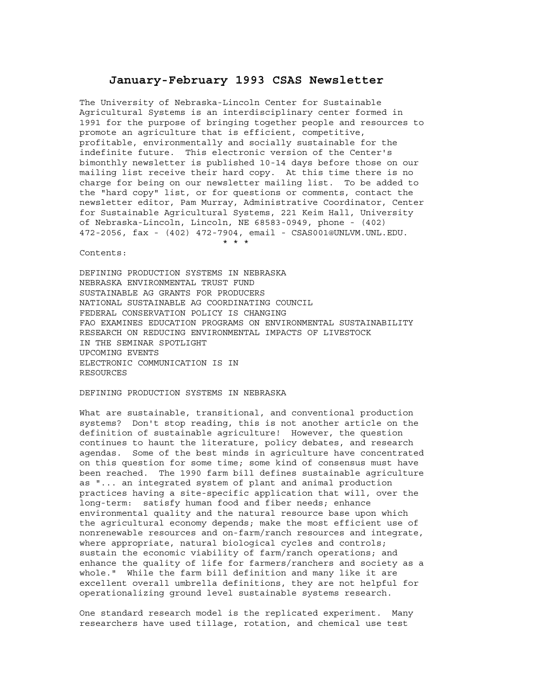### **January-February 1993 CSAS Newsletter**

The University of Nebraska-Lincoln Center for Sustainable Agricultural Systems is an interdisciplinary center formed in 1991 for the purpose of bringing together people and resources to promote an agriculture that is efficient, competitive, profitable, environmentally and socially sustainable for the indefinite future. This electronic version of the Center's bimonthly newsletter is published 10-14 days before those on our mailing list receive their hard copy. At this time there is no charge for being on our newsletter mailing list. To be added to the "hard copy" list, or for questions or comments, contact the newsletter editor, Pam Murray, Administrative Coordinator, Center for Sustainable Agricultural Systems, 221 Keim Hall, University of Nebraska-Lincoln, Lincoln, NE 68583-0949, phone - (402) 472-2056, fax - (402) 472-7904, email - CSAS001@UNLVM.UNL.EDU. \* \* \*

Contents:

DEFINING PRODUCTION SYSTEMS IN NEBRASKA NEBRASKA ENVIRONMENTAL TRUST FUND SUSTAINABLE AG GRANTS FOR PRODUCERS NATIONAL SUSTAINABLE AG COORDINATING COUNCIL FEDERAL CONSERVATION POLICY IS CHANGING FAO EXAMINES EDUCATION PROGRAMS ON ENVIRONMENTAL SUSTAINABILITY RESEARCH ON REDUCING ENVIRONMENTAL IMPACTS OF LIVESTOCK IN THE SEMINAR SPOTLIGHT UPCOMING EVENTS ELECTRONIC COMMUNICATION IS IN RESOURCES

#### DEFINING PRODUCTION SYSTEMS IN NEBRASKA

What are sustainable, transitional, and conventional production systems? Don't stop reading, this is not another article on the definition of sustainable agriculture! However, the question continues to haunt the literature, policy debates, and research agendas. Some of the best minds in agriculture have concentrated on this question for some time; some kind of consensus must have been reached. The 1990 farm bill defines sustainable agriculture as "... an integrated system of plant and animal production practices having a site-specific application that will, over the long-term: satisfy human food and fiber needs; enhance environmental quality and the natural resource base upon which the agricultural economy depends; make the most efficient use of nonrenewable resources and on-farm/ranch resources and integrate, where appropriate, natural biological cycles and controls; sustain the economic viability of farm/ranch operations; and enhance the quality of life for farmers/ranchers and society as a whole." While the farm bill definition and many like it are excellent overall umbrella definitions, they are not helpful for operationalizing ground level sustainable systems research.

One standard research model is the replicated experiment. Many researchers have used tillage, rotation, and chemical use test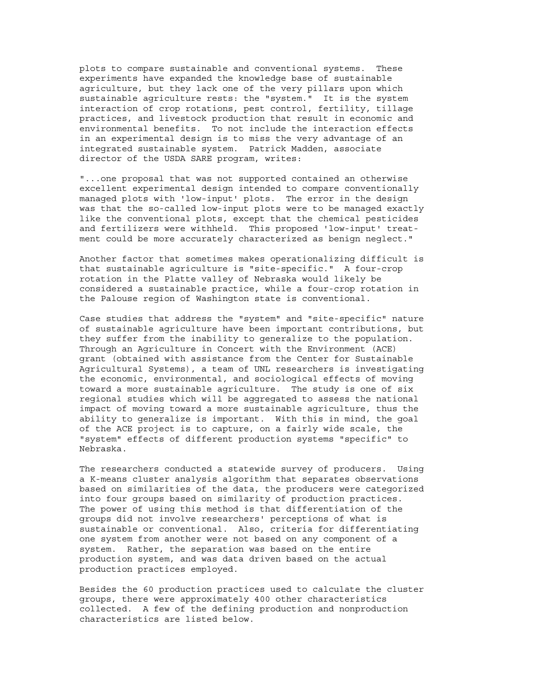plots to compare sustainable and conventional systems. These experiments have expanded the knowledge base of sustainable agriculture, but they lack one of the very pillars upon which sustainable agriculture rests: the "system." It is the system interaction of crop rotations, pest control, fertility, tillage practices, and livestock production that result in economic and environmental benefits. To not include the interaction effects in an experimental design is to miss the very advantage of an integrated sustainable system. Patrick Madden, associate director of the USDA SARE program, writes:

"...one proposal that was not supported contained an otherwise excellent experimental design intended to compare conventionally managed plots with 'low-input' plots. The error in the design was that the so-called low-input plots were to be managed exactly like the conventional plots, except that the chemical pesticides and fertilizers were withheld. This proposed 'low-input' treatment could be more accurately characterized as benign neglect."

Another factor that sometimes makes operationalizing difficult is that sustainable agriculture is "site-specific." A four-crop rotation in the Platte valley of Nebraska would likely be considered a sustainable practice, while a four-crop rotation in the Palouse region of Washington state is conventional.

Case studies that address the "system" and "site-specific" nature of sustainable agriculture have been important contributions, but they suffer from the inability to generalize to the population. Through an Agriculture in Concert with the Environment (ACE) grant (obtained with assistance from the Center for Sustainable Agricultural Systems), a team of UNL researchers is investigating the economic, environmental, and sociological effects of moving toward a more sustainable agriculture. The study is one of six regional studies which will be aggregated to assess the national impact of moving toward a more sustainable agriculture, thus the ability to generalize is important. With this in mind, the goal of the ACE project is to capture, on a fairly wide scale, the "system" effects of different production systems "specific" to Nebraska.

The researchers conducted a statewide survey of producers. Using a K-means cluster analysis algorithm that separates observations based on similarities of the data, the producers were categorized into four groups based on similarity of production practices. The power of using this method is that differentiation of the groups did not involve researchers' perceptions of what is sustainable or conventional. Also, criteria for differentiating one system from another were not based on any component of a system. Rather, the separation was based on the entire production system, and was data driven based on the actual production practices employed.

Besides the 60 production practices used to calculate the cluster groups, there were approximately 400 other characteristics collected. A few of the defining production and nonproduction characteristics are listed below.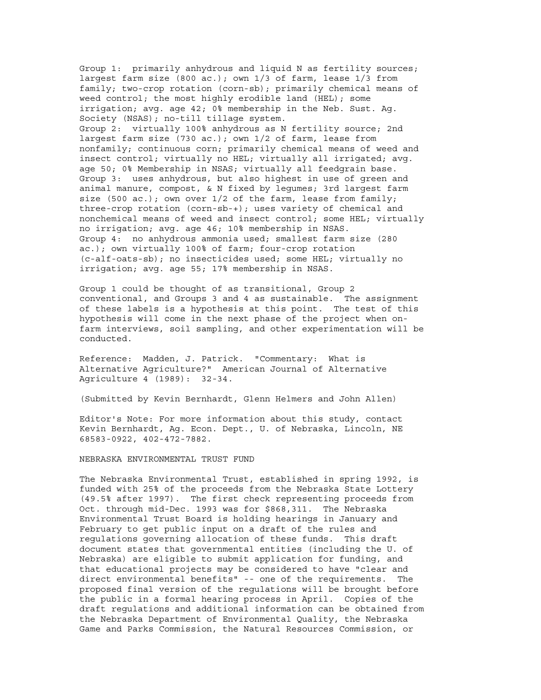Group 1: primarily anhydrous and liquid N as fertility sources; largest farm size (800 ac.); own 1/3 of farm, lease 1/3 from family; two-crop rotation (corn-sb); primarily chemical means of weed control; the most highly erodible land (HEL); some irrigation; avg. age 42; 0% membership in the Neb. Sust. Ag. Society (NSAS); no-till tillage system. Group 2: virtually 100% anhydrous as N fertility source; 2nd largest farm size (730 ac.); own 1/2 of farm, lease from nonfamily; continuous corn; primarily chemical means of weed and insect control; virtually no HEL; virtually all irrigated; avg. age 50; 0% Membership in NSAS; virtually all feedgrain base. Group 3: uses anhydrous, but also highest in use of green and animal manure, compost, & N fixed by legumes; 3rd largest farm size (500 ac.); own over 1/2 of the farm, lease from family; three-crop rotation (corn-sb-+); uses variety of chemical and nonchemical means of weed and insect control; some HEL; virtually no irrigation; avg. age 46; 10% membership in NSAS. Group 4: no anhydrous ammonia used; smallest farm size (280 ac.); own virtually 100% of farm; four-crop rotation (c-alf-oats-sb); no insecticides used; some HEL; virtually no irrigation; avg. age 55; 17% membership in NSAS.

Group 1 could be thought of as transitional, Group 2 conventional, and Groups 3 and 4 as sustainable. The assignment of these labels is a hypothesis at this point. The test of this hypothesis will come in the next phase of the project when onfarm interviews, soil sampling, and other experimentation will be conducted.

Reference: Madden, J. Patrick. "Commentary: What is Alternative Agriculture?" American Journal of Alternative Agriculture 4 (1989): 32-34.

(Submitted by Kevin Bernhardt, Glenn Helmers and John Allen)

Editor's Note: For more information about this study, contact Kevin Bernhardt, Ag. Econ. Dept., U. of Nebraska, Lincoln, NE 68583-0922, 402-472-7882.

NEBRASKA ENVIRONMENTAL TRUST FUND

The Nebraska Environmental Trust, established in spring 1992, is funded with 25% of the proceeds from the Nebraska State Lottery (49.5% after 1997). The first check representing proceeds from Oct. through mid-Dec. 1993 was for \$868,311. The Nebraska Environmental Trust Board is holding hearings in January and February to get public input on a draft of the rules and regulations governing allocation of these funds. This draft document states that governmental entities (including the U. of Nebraska) are eligible to submit application for funding, and that educational projects may be considered to have "clear and direct environmental benefits" -- one of the requirements. The proposed final version of the regulations will be brought before the public in a formal hearing process in April. Copies of the draft regulations and additional information can be obtained from the Nebraska Department of Environmental Quality, the Nebraska Game and Parks Commission, the Natural Resources Commission, or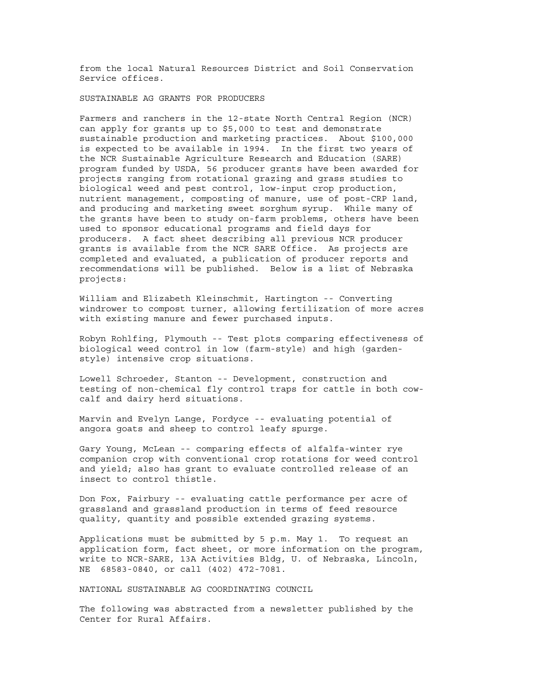from the local Natural Resources District and Soil Conservation Service offices.

SUSTAINABLE AG GRANTS FOR PRODUCERS

Farmers and ranchers in the 12-state North Central Region (NCR) can apply for grants up to \$5,000 to test and demonstrate sustainable production and marketing practices. About \$100,000 is expected to be available in 1994. In the first two years of the NCR Sustainable Agriculture Research and Education (SARE) program funded by USDA, 56 producer grants have been awarded for projects ranging from rotational grazing and grass studies to biological weed and pest control, low-input crop production, nutrient management, composting of manure, use of post-CRP land, and producing and marketing sweet sorghum syrup. While many of the grants have been to study on-farm problems, others have been used to sponsor educational programs and field days for producers. A fact sheet describing all previous NCR producer grants is available from the NCR SARE Office. As projects are completed and evaluated, a publication of producer reports and recommendations will be published. Below is a list of Nebraska projects:

William and Elizabeth Kleinschmit, Hartington -- Converting windrower to compost turner, allowing fertilization of more acres with existing manure and fewer purchased inputs.

Robyn Rohlfing, Plymouth -- Test plots comparing effectiveness of biological weed control in low (farm-style) and high (gardenstyle) intensive crop situations.

Lowell Schroeder, Stanton -- Development, construction and testing of non-chemical fly control traps for cattle in both cowcalf and dairy herd situations.

Marvin and Evelyn Lange, Fordyce -- evaluating potential of angora goats and sheep to control leafy spurge.

Gary Young, McLean -- comparing effects of alfalfa-winter rye companion crop with conventional crop rotations for weed control and yield; also has grant to evaluate controlled release of an insect to control thistle.

Don Fox, Fairbury -- evaluating cattle performance per acre of grassland and grassland production in terms of feed resource quality, quantity and possible extended grazing systems.

Applications must be submitted by 5 p.m. May 1. To request an application form, fact sheet, or more information on the program, write to NCR-SARE, 13A Activities Bldg, U. of Nebraska, Lincoln, NE 68583-0840, or call (402) 472-7081.

NATIONAL SUSTAINABLE AG COORDINATING COUNCIL

The following was abstracted from a newsletter published by the Center for Rural Affairs.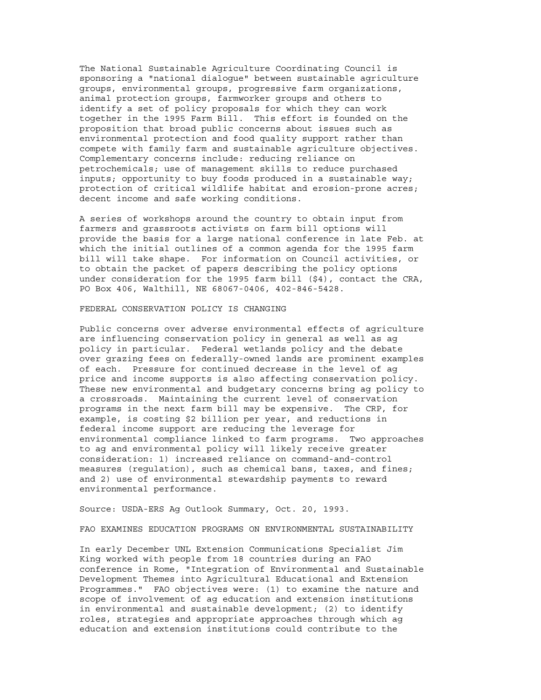The National Sustainable Agriculture Coordinating Council is sponsoring a "national dialogue" between sustainable agriculture groups, environmental groups, progressive farm organizations, animal protection groups, farmworker groups and others to identify a set of policy proposals for which they can work together in the 1995 Farm Bill. This effort is founded on the proposition that broad public concerns about issues such as environmental protection and food quality support rather than compete with family farm and sustainable agriculture objectives. Complementary concerns include: reducing reliance on petrochemicals; use of management skills to reduce purchased inputs; opportunity to buy foods produced in a sustainable way; protection of critical wildlife habitat and erosion-prone acres; decent income and safe working conditions.

A series of workshops around the country to obtain input from farmers and grassroots activists on farm bill options will provide the basis for a large national conference in late Feb. at which the initial outlines of a common agenda for the 1995 farm bill will take shape. For information on Council activities, or to obtain the packet of papers describing the policy options under consideration for the 1995 farm bill (\$4), contact the CRA, PO Box 406, Walthill, NE 68067-0406, 402-846-5428.

#### FEDERAL CONSERVATION POLICY IS CHANGING

Public concerns over adverse environmental effects of agriculture are influencing conservation policy in general as well as ag policy in particular. Federal wetlands policy and the debate over grazing fees on federally-owned lands are prominent examples of each. Pressure for continued decrease in the level of ag price and income supports is also affecting conservation policy. These new environmental and budgetary concerns bring ag policy to a crossroads. Maintaining the current level of conservation programs in the next farm bill may be expensive. The CRP, for example, is costing \$2 billion per year, and reductions in federal income support are reducing the leverage for environmental compliance linked to farm programs. Two approaches to ag and environmental policy will likely receive greater consideration: 1) increased reliance on command-and-control measures (regulation), such as chemical bans, taxes, and fines; and 2) use of environmental stewardship payments to reward environmental performance.

Source: USDA-ERS Ag Outlook Summary, Oct. 20, 1993.

FAO EXAMINES EDUCATION PROGRAMS ON ENVIRONMENTAL SUSTAINABILITY

In early December UNL Extension Communications Specialist Jim King worked with people from 18 countries during an FAO conference in Rome, "Integration of Environmental and Sustainable Development Themes into Agricultural Educational and Extension Programmes." FAO objectives were: (1) to examine the nature and scope of involvement of ag education and extension institutions in environmental and sustainable development; (2) to identify roles, strategies and appropriate approaches through which ag education and extension institutions could contribute to the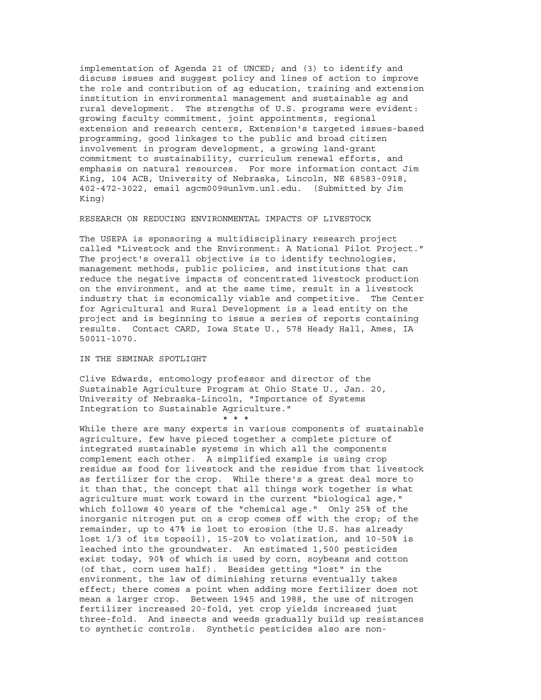implementation of Agenda 21 of UNCED; and (3) to identify and discuss issues and suggest policy and lines of action to improve the role and contribution of ag education, training and extension institution in environmental management and sustainable ag and rural development. The strengths of U.S. programs were evident: growing faculty commitment, joint appointments, regional extension and research centers, Extension's targeted issues-based programming, good linkages to the public and broad citizen involvement in program development, a growing land-grant commitment to sustainability, curriculum renewal efforts, and emphasis on natural resources. For more information contact Jim King, 104 ACB, University of Nebraska, Lincoln, NE 68583-0918, 402-472-3022, email agcm009@unlvm.unl.edu. (Submitted by Jim King)

#### RESEARCH ON REDUCING ENVIRONMENTAL IMPACTS OF LIVESTOCK

The USEPA is sponsoring a multidisciplinary research project called "Livestock and the Environment: A National Pilot Project." The project's overall objective is to identify technologies, management methods, public policies, and institutions that can reduce the negative impacts of concentrated livestock production on the environment, and at the same time, result in a livestock industry that is economically viable and competitive. The Center for Agricultural and Rural Development is a lead entity on the project and is beginning to issue a series of reports containing results. Contact CARD, Iowa State U., 578 Heady Hall, Ames, IA 50011-1070.

#### IN THE SEMINAR SPOTLIGHT

Clive Edwards, entomology professor and director of the Sustainable Agriculture Program at Ohio State U., Jan. 20, University of Nebraska-Lincoln, "Importance of Systems Integration to Sustainable Agriculture." \* \* \*

While there are many experts in various components of sustainable agriculture, few have pieced together a complete picture of integrated sustainable systems in which all the components complement each other. A simplified example is using crop residue as food for livestock and the residue from that livestock as fertilizer for the crop. While there's a great deal more to it than that, the concept that all things work together is what agriculture must work toward in the current "biological age," which follows 40 years of the "chemical age." Only 25% of the inorganic nitrogen put on a crop comes off with the crop; of the remainder, up to 47% is lost to erosion (the U.S. has already lost 1/3 of its topsoil), 15-20% to volatization, and 10-50% is leached into the groundwater. An estimated 1,500 pesticides exist today, 90% of which is used by corn, soybeans and cotton (of that, corn uses half). Besides getting "lost" in the environment, the law of diminishing returns eventually takes effect; there comes a point when adding more fertilizer does not mean a larger crop. Between 1945 and 1988, the use of nitrogen fertilizer increased 20-fold, yet crop yields increased just three-fold. And insects and weeds gradually build up resistances to synthetic controls. Synthetic pesticides also are non-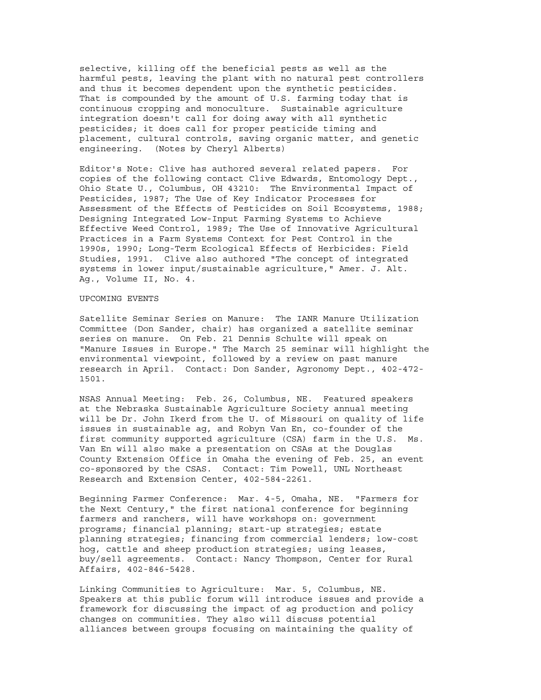selective, killing off the beneficial pests as well as the harmful pests, leaving the plant with no natural pest controllers and thus it becomes dependent upon the synthetic pesticides. That is compounded by the amount of U.S. farming today that is continuous cropping and monoculture. Sustainable agriculture integration doesn't call for doing away with all synthetic pesticides; it does call for proper pesticide timing and placement, cultural controls, saving organic matter, and genetic engineering. (Notes by Cheryl Alberts)

Editor's Note: Clive has authored several related papers. For copies of the following contact Clive Edwards, Entomology Dept., Ohio State U., Columbus, OH 43210: The Environmental Impact of Pesticides, 1987; The Use of Key Indicator Processes for Assessment of the Effects of Pesticides on Soil Ecosystems, 1988; Designing Integrated Low-Input Farming Systems to Achieve Effective Weed Control, 1989; The Use of Innovative Agricultural Practices in a Farm Systems Context for Pest Control in the 1990s, 1990; Long-Term Ecological Effects of Herbicides: Field Studies, 1991. Clive also authored "The concept of integrated systems in lower input/sustainable agriculture," Amer. J. Alt. Ag., Volume II, No. 4.

#### UPCOMING EVENTS

Satellite Seminar Series on Manure: The IANR Manure Utilization Committee (Don Sander, chair) has organized a satellite seminar series on manure. On Feb. 21 Dennis Schulte will speak on "Manure Issues in Europe." The March 25 seminar will highlight the environmental viewpoint, followed by a review on past manure research in April. Contact: Don Sander, Agronomy Dept., 402-472- 1501.

NSAS Annual Meeting: Feb. 26, Columbus, NE. Featured speakers at the Nebraska Sustainable Agriculture Society annual meeting will be Dr. John Ikerd from the U. of Missouri on quality of life issues in sustainable ag, and Robyn Van En, co-founder of the first community supported agriculture (CSA) farm in the U.S. Ms. Van En will also make a presentation on CSAs at the Douglas County Extension Office in Omaha the evening of Feb. 25, an event co-sponsored by the CSAS. Contact: Tim Powell, UNL Northeast Research and Extension Center, 402-584-2261.

Beginning Farmer Conference: Mar. 4-5, Omaha, NE. "Farmers for the Next Century," the first national conference for beginning farmers and ranchers, will have workshops on: government programs; financial planning; start-up strategies; estate planning strategies; financing from commercial lenders; low-cost hog, cattle and sheep production strategies; using leases, buy/sell agreements. Contact: Nancy Thompson, Center for Rural Affairs, 402-846-5428.

Linking Communities to Agriculture: Mar. 5, Columbus, NE. Speakers at this public forum will introduce issues and provide a framework for discussing the impact of ag production and policy changes on communities. They also will discuss potential alliances between groups focusing on maintaining the quality of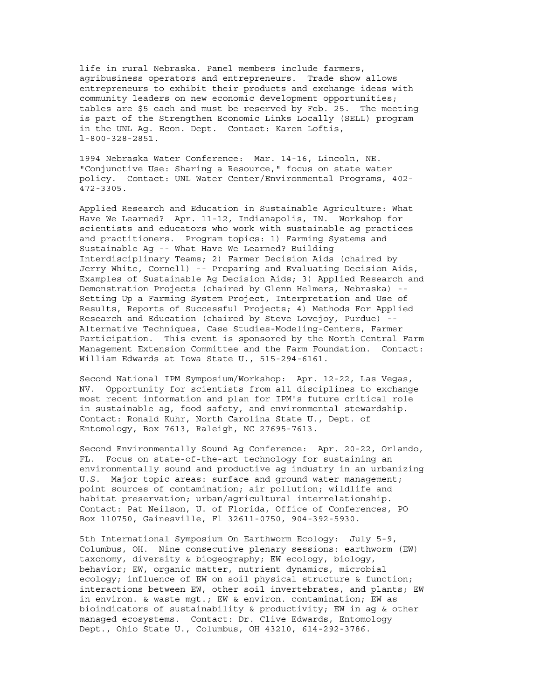life in rural Nebraska. Panel members include farmers, agribusiness operators and entrepreneurs. Trade show allows entrepreneurs to exhibit their products and exchange ideas with community leaders on new economic development opportunities; tables are \$5 each and must be reserved by Feb. 25. The meeting is part of the Strengthen Economic Links Locally (SELL) program in the UNL Ag. Econ. Dept. Contact: Karen Loftis, l-800-328-2851.

1994 Nebraska Water Conference: Mar. 14-16, Lincoln, NE. "Conjunctive Use: Sharing a Resource," focus on state water policy. Contact: UNL Water Center/Environmental Programs, 402- 472-3305.

Applied Research and Education in Sustainable Agriculture: What Have We Learned? Apr. 11-12, Indianapolis, IN. Workshop for scientists and educators who work with sustainable ag practices and practitioners. Program topics: 1) Farming Systems and Sustainable Ag -- What Have We Learned? Building Interdisciplinary Teams; 2) Farmer Decision Aids (chaired by Jerry White, Cornell) -- Preparing and Evaluating Decision Aids, Examples of Sustainable Ag Decision Aids; 3) Applied Research and Demonstration Projects (chaired by Glenn Helmers, Nebraska) -- Setting Up a Farming System Project, Interpretation and Use of Results, Reports of Successful Projects; 4) Methods For Applied Research and Education (chaired by Steve Lovejoy, Purdue) -- Alternative Techniques, Case Studies-Modeling-Centers, Farmer Participation. This event is sponsored by the North Central Farm Management Extension Committee and the Farm Foundation. Contact: William Edwards at Iowa State U., 515-294-6161.

Second National IPM Symposium/Workshop: Apr. 12-22, Las Vegas, NV. Opportunity for scientists from all disciplines to exchange most recent information and plan for IPM's future critical role in sustainable ag, food safety, and environmental stewardship. Contact: Ronald Kuhr, North Carolina State U., Dept. of Entomology, Box 7613, Raleigh, NC 27695-7613.

Second Environmentally Sound Ag Conference: Apr. 20-22, Orlando, FL. Focus on state-of-the-art technology for sustaining an environmentally sound and productive ag industry in an urbanizing U.S. Major topic areas: surface and ground water management; point sources of contamination; air pollution; wildlife and habitat preservation; urban/agricultural interrelationship. Contact: Pat Neilson, U. of Florida, Office of Conferences, PO Box 110750, Gainesville, Fl 32611-0750, 904-392-5930.

5th International Symposium On Earthworm Ecology: July 5-9, Columbus, OH. Nine consecutive plenary sessions: earthworm (EW) taxonomy, diversity & biogeography; EW ecology, biology, behavior; EW, organic matter, nutrient dynamics, microbial ecology; influence of EW on soil physical structure & function; interactions between EW, other soil invertebrates, and plants; EW in environ. & waste mgt.; EW & environ. contamination; EW as bioindicators of sustainability & productivity; EW in ag & other managed ecosystems. Contact: Dr. Clive Edwards, Entomology Dept., Ohio State U., Columbus, OH 43210, 614-292-3786.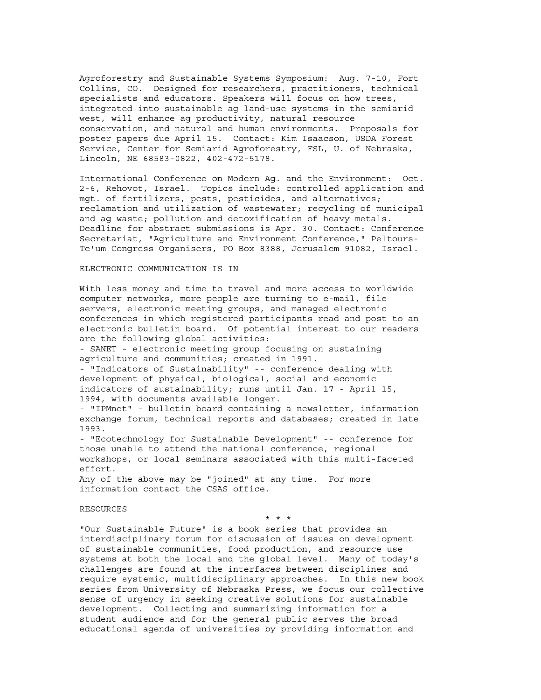Agroforestry and Sustainable Systems Symposium: Aug. 7-10, Fort Collins, CO. Designed for researchers, practitioners, technical specialists and educators. Speakers will focus on how trees, integrated into sustainable ag land-use systems in the semiarid west, will enhance ag productivity, natural resource conservation, and natural and human environments. Proposals for poster papers due April 15. Contact: Kim Isaacson, USDA Forest Service, Center for Semiarid Agroforestry, FSL, U. of Nebraska, Lincoln, NE 68583-0822, 402-472-5178.

International Conference on Modern Ag. and the Environment: Oct. 2-6, Rehovot, Israel. Topics include: controlled application and mgt. of fertilizers, pests, pesticides, and alternatives; reclamation and utilization of wastewater; recycling of municipal and ag waste; pollution and detoxification of heavy metals. Deadline for abstract submissions is Apr. 30. Contact: Conference Secretariat, "Agriculture and Environment Conference," Peltours-Te'um Congress Organisers, PO Box 8388, Jerusalem 91082, Israel.

#### ELECTRONIC COMMUNICATION IS IN

With less money and time to travel and more access to worldwide computer networks, more people are turning to e-mail, file servers, electronic meeting groups, and managed electronic conferences in which registered participants read and post to an electronic bulletin board. Of potential interest to our readers are the following global activities:

- SANET - electronic meeting group focusing on sustaining agriculture and communities; created in 1991.

- "Indicators of Sustainability" -- conference dealing with development of physical, biological, social and economic indicators of sustainability; runs until Jan. 17 - April 15, 1994, with documents available longer.

- "IPMnet" - bulletin board containing a newsletter, information exchange forum, technical reports and databases; created in late 1993.

- "Ecotechnology for Sustainable Development" -- conference for those unable to attend the national conference, regional workshops, or local seminars associated with this multi-faceted effort.

Any of the above may be "joined" at any time. For more information contact the CSAS office.

#### RESOURCES

\* \* \*

"Our Sustainable Future" is a book series that provides an interdisciplinary forum for discussion of issues on development of sustainable communities, food production, and resource use systems at both the local and the global level. Many of today's challenges are found at the interfaces between disciplines and require systemic, multidisciplinary approaches. In this new book series from University of Nebraska Press, we focus our collective sense of urgency in seeking creative solutions for sustainable development. Collecting and summarizing information for a student audience and for the general public serves the broad educational agenda of universities by providing information and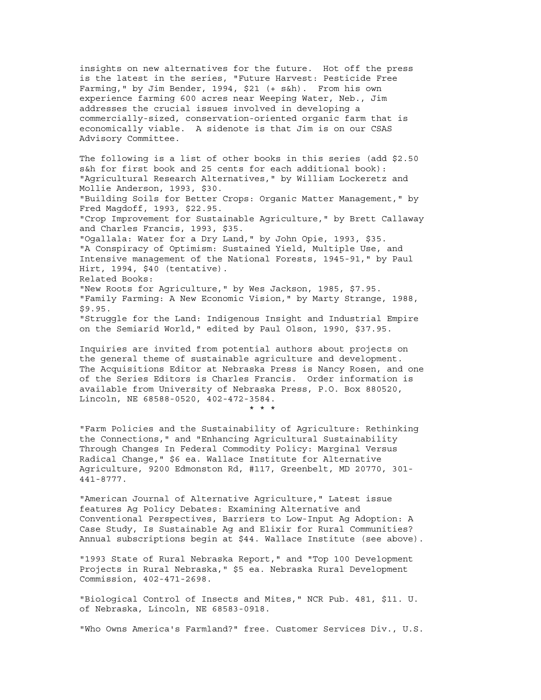insights on new alternatives for the future. Hot off the press is the latest in the series, "Future Harvest: Pesticide Free Farming," by Jim Bender, 1994, \$21 (+ s&h). From his own experience farming 600 acres near Weeping Water, Neb., Jim addresses the crucial issues involved in developing a commercially-sized, conservation-oriented organic farm that is economically viable. A sidenote is that Jim is on our CSAS Advisory Committee.

The following is a list of other books in this series (add \$2.50 s&h for first book and 25 cents for each additional book): "Agricultural Research Alternatives," by William Lockeretz and Mollie Anderson, 1993, \$30. "Building Soils for Better Crops: Organic Matter Management," by Fred Magdoff, 1993, \$22.95. "Crop Improvement for Sustainable Agriculture," by Brett Callaway and Charles Francis, 1993, \$35. "Ogallala: Water for a Dry Land," by John Opie, 1993, \$35. "A Conspiracy of Optimism: Sustained Yield, Multiple Use, and Intensive management of the National Forests, 1945-91," by Paul Hirt, 1994, \$40 (tentative). Related Books: "New Roots for Agriculture," by Wes Jackson, 1985, \$7.95. "Family Farming: A New Economic Vision," by Marty Strange, 1988, \$9.95. "Struggle for the Land: Indigenous Insight and Industrial Empire on the Semiarid World," edited by Paul Olson, 1990, \$37.95.

Inquiries are invited from potential authors about projects on the general theme of sustainable agriculture and development. The Acquisitions Editor at Nebraska Press is Nancy Rosen, and one of the Series Editors is Charles Francis. Order information is available from University of Nebraska Press, P.O. Box 880520, Lincoln, NE 68588-0520, 402-472-3584. \* \* \*

"Farm Policies and the Sustainability of Agriculture: Rethinking the Connections," and "Enhancing Agricultural Sustainability Through Changes In Federal Commodity Policy: Marginal Versus Radical Change," \$6 ea. Wallace Institute for Alternative Agriculture, 9200 Edmonston Rd, #117, Greenbelt, MD 20770, 301- 441-8777.

"American Journal of Alternative Agriculture," Latest issue features Ag Policy Debates: Examining Alternative and Conventional Perspectives, Barriers to Low-Input Ag Adoption: A Case Study, Is Sustainable Ag and Elixir for Rural Communities? Annual subscriptions begin at \$44. Wallace Institute (see above).

"1993 State of Rural Nebraska Report," and "Top 100 Development Projects in Rural Nebraska," \$5 ea. Nebraska Rural Development Commission, 402-471-2698.

"Biological Control of Insects and Mites," NCR Pub. 481, \$11. U. of Nebraska, Lincoln, NE 68583-0918.

"Who Owns America's Farmland?" free. Customer Services Div., U.S.